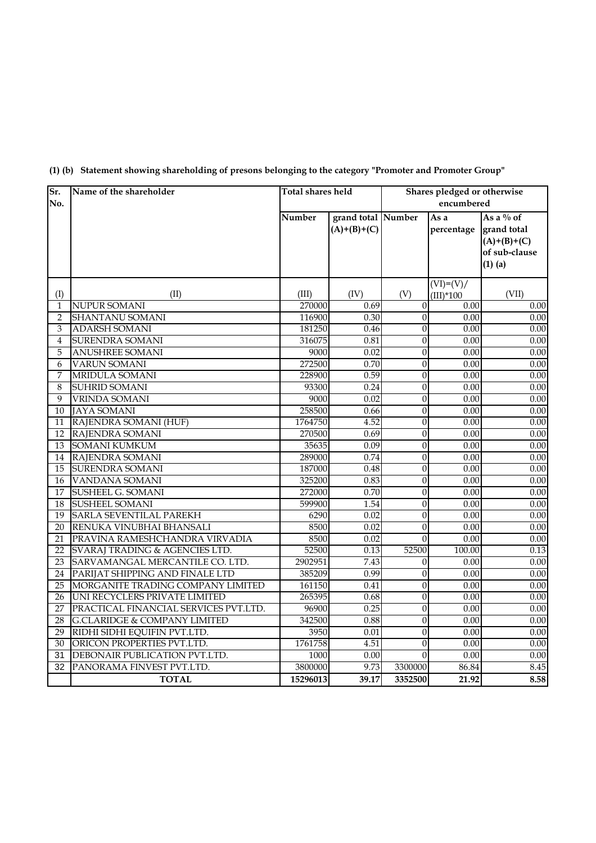| Sr.            | Name of the shareholder                 | Total shares held |                    |                  | Shares pledged or otherwise |               |  |  |
|----------------|-----------------------------------------|-------------------|--------------------|------------------|-----------------------------|---------------|--|--|
| No.            |                                         |                   |                    |                  | encumbered                  |               |  |  |
|                |                                         | Number            | grand total Number |                  | As a                        | As a $\%$ of  |  |  |
|                |                                         |                   | $(A)+(B)+(C)$      |                  | percentage                  | grand total   |  |  |
|                |                                         |                   |                    |                  |                             | $(A)+(B)+(C)$ |  |  |
|                |                                         |                   |                    |                  |                             | of sub-clause |  |  |
|                |                                         |                   |                    |                  |                             | $(1)$ (a)     |  |  |
|                |                                         |                   |                    |                  | $(VI)=(V)/$                 |               |  |  |
| (I)            | (II)                                    | (III)             | (IV)               | (V)              | $(III)^*100$                | (VII)         |  |  |
| 1              | <b>NUPUR SOMANI</b>                     | 270000            | 0.69               | $\mathbf{0}$     | 0.00                        | 0.00          |  |  |
| $\overline{2}$ | <b>SHANTANU SOMANI</b>                  | 116900            | 0.30               | $\mathbf{0}$     | 0.00                        | 0.00          |  |  |
| 3              | <b>ADARSH SOMANI</b>                    | 181250            | 0.46               | $\mathbf{0}$     | 0.00                        | 0.00          |  |  |
| 4              | <b>SURENDRA SOMANI</b>                  | 316075            | 0.81               | $\overline{0}$   | 0.00                        | 0.00          |  |  |
| 5              | <b>ANUSHREE SOMANI</b>                  | 9000              | 0.02               | $\mathbf{0}$     | 0.00                        | 0.00          |  |  |
| 6              | <b>VARUN SOMANI</b>                     | 272500            | 0.70               | $\boldsymbol{0}$ | 0.00                        | 0.00          |  |  |
| 7              | <b>MRIDULA SOMANI</b>                   | 228900            | 0.59               | $\boldsymbol{0}$ | 0.00                        | 0.00          |  |  |
| 8              | <b>SUHRID SOMANI</b>                    | 93300             | 0.24               | $\overline{0}$   | $\overline{0.00}$           | 0.00          |  |  |
| 9              | <b>VRINDA SOMANI</b>                    | 9000              | 0.02               | $\mathbf{0}$     | 0.00                        | 0.00          |  |  |
| 10             | <b>JAYA SOMANI</b>                      | 258500            | 0.66               | $\overline{0}$   | 0.00                        | 0.00          |  |  |
| 11             | RAJENDRA SOMANI (HUF)                   | 1764750           | 4.52               | $\mathbf{0}$     | 0.00                        | 0.00          |  |  |
| 12             | RAJENDRA SOMANI                         | 270500            | 0.69               | $\overline{0}$   | 0.00                        | 0.00          |  |  |
| 13             | SOMANI KUMKUM                           | 35635             | 0.09               | $\overline{0}$   | 0.00                        | 0.00          |  |  |
| 14             | RAJENDRA SOMANI                         | 289000            | 0.74               | $\overline{0}$   | $\overline{0.00}$           | 0.00          |  |  |
| 15             | <b>SURENDRA SOMANI</b>                  | 187000            | 0.48               | $\boldsymbol{0}$ | 0.00                        | 0.00          |  |  |
| 16             | VANDANA SOMANI                          | 325200            | 0.83               | $\overline{0}$   | 0.00                        | 0.00          |  |  |
| 17             | SUSHEEL G. SOMANI                       | 272000            | 0.70               | $\mathbf{0}$     | 0.00                        | 0.00          |  |  |
| 18             | <b>SUSHEEL SOMANI</b>                   | 599900            | 1.54               | $\mathbf{0}$     | 0.00                        | 0.00          |  |  |
| 19             | <b>SARLA SEVENTILAL PAREKH</b>          | 6290              | 0.02               | $\boldsymbol{0}$ | 0.00                        | 0.00          |  |  |
| 20             | RENUKA VINUBHAI BHANSALI                | 8500              | 0.02               | $\mathbf{0}$     | 0.00                        | 0.00          |  |  |
| 21             | PRAVINA RAMESHCHANDRA VIRVADIA          | 8500              | 0.02               | $\mathbf{0}$     | 0.00                        | 0.00          |  |  |
| 22             | SVARAJ TRADING & AGENCIES LTD.          | 52500             | 0.13               | 52500            | 100.00                      | 0.13          |  |  |
| 23             | SARVAMANGAL MERCANTILE CO. LTD.         | 2902951           | 7.43               | $\theta$         | 0.00                        | 0.00          |  |  |
| 24             | PARIJAT SHIPPING AND FINALE LTD         | 385209            | 0.99               | $\boldsymbol{0}$ | 0.00                        | 0.00          |  |  |
| 25             | MORGANITE TRADING COMPANY LIMITED       | 161150            | 0.41               | $\overline{0}$   | 0.00                        | 0.00          |  |  |
| 26             | UNI RECYCLERS PRIVATE LIMITED           | 265395            | 0.68               | $\mathbf{0}$     | 0.00                        | 0.00          |  |  |
| 27             | PRACTICAL FINANCIAL SERVICES PVT.LTD.   | 96900             | 0.25               | $\boldsymbol{0}$ | 0.00                        | 0.00          |  |  |
| 28             | <b>G.CLARIDGE &amp; COMPANY LIMITED</b> | 342500            | 0.88               | $\boldsymbol{0}$ | 0.00                        | 0.00          |  |  |
| 29             | RIDHI SIDHI EQUIFIN PVT.LTD.            | 3950              | 0.01               | $\boldsymbol{0}$ | 0.00                        | 0.00          |  |  |
| 30             | ORICON PROPERTIES PVT.LTD.              | 1761758           | 4.51               | $\boldsymbol{0}$ | 0.00                        | 0.00          |  |  |
| 31             | DEBONAIR PUBLICATION PVT.LTD.           | 1000              | 0.00               | $\mathbf{0}$     | 0.00                        | 0.00          |  |  |
| 32             | PANORAMA FINVEST PVT.LTD.               | 3800000           | 9.73               | 3300000          | 86.84                       | 8.45          |  |  |
|                | <b>TOTAL</b>                            | 15296013          | 39.17              | 3352500          | 21.92                       | 8.58          |  |  |

## **(1) (b) Statement showing shareholding of presons belonging to the category "Promoter and Promoter Group"**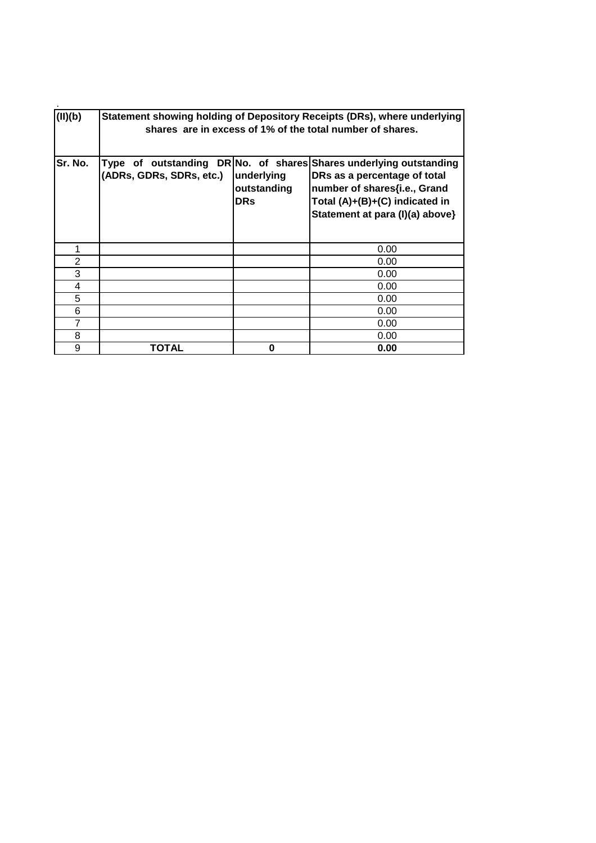| (II)(b) | Statement showing holding of Depository Receipts (DRs), where underlying<br>shares are in excess of 1% of the total number of shares. |                                         |                                                                                                                                                                                                         |  |  |  |  |  |  |
|---------|---------------------------------------------------------------------------------------------------------------------------------------|-----------------------------------------|---------------------------------------------------------------------------------------------------------------------------------------------------------------------------------------------------------|--|--|--|--|--|--|
| Sr. No. | (ADRs, GDRs, SDRs, etc.)                                                                                                              | underlying<br>outstanding<br><b>DRs</b> | Type of outstanding DR No. of shares Shares underlying outstanding<br>DRs as a percentage of total<br>number of shares{i.e., Grand<br>Total (A)+(B)+(C) indicated in<br>Statement at para (I)(a) above} |  |  |  |  |  |  |
| 1       |                                                                                                                                       |                                         | 0.00                                                                                                                                                                                                    |  |  |  |  |  |  |
| 2       |                                                                                                                                       |                                         | 0.00                                                                                                                                                                                                    |  |  |  |  |  |  |
| 3       |                                                                                                                                       |                                         | 0.00                                                                                                                                                                                                    |  |  |  |  |  |  |
| 4       |                                                                                                                                       |                                         | 0.00                                                                                                                                                                                                    |  |  |  |  |  |  |
| 5       |                                                                                                                                       |                                         | 0.00                                                                                                                                                                                                    |  |  |  |  |  |  |
| 6       |                                                                                                                                       |                                         | 0.00                                                                                                                                                                                                    |  |  |  |  |  |  |
| 7       |                                                                                                                                       |                                         | 0.00                                                                                                                                                                                                    |  |  |  |  |  |  |
| 8       |                                                                                                                                       |                                         | 0.00                                                                                                                                                                                                    |  |  |  |  |  |  |
| 9       | ΤΟΤΑL                                                                                                                                 | 0                                       | 0.00                                                                                                                                                                                                    |  |  |  |  |  |  |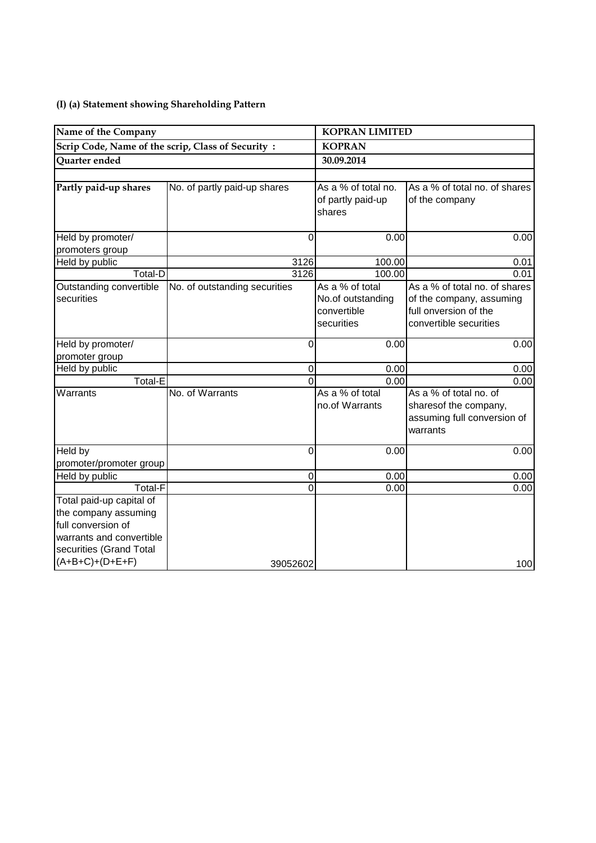## **(I) (a) Statement showing Shareholding Pattern**

| Name of the Company                                                                                                           |                               | <b>KOPRAN LIMITED</b>                                             |                                                                                                              |  |  |  |
|-------------------------------------------------------------------------------------------------------------------------------|-------------------------------|-------------------------------------------------------------------|--------------------------------------------------------------------------------------------------------------|--|--|--|
| Scrip Code, Name of the scrip, Class of Security:                                                                             |                               | <b>KOPRAN</b>                                                     |                                                                                                              |  |  |  |
| Quarter ended                                                                                                                 |                               | 30.09.2014                                                        |                                                                                                              |  |  |  |
|                                                                                                                               |                               |                                                                   |                                                                                                              |  |  |  |
| Partly paid-up shares                                                                                                         | No. of partly paid-up shares  | As a % of total no.<br>of partly paid-up<br>shares                | As a % of total no. of shares<br>of the company                                                              |  |  |  |
| Held by promoter/                                                                                                             | 0                             | 0.00                                                              | 0.00                                                                                                         |  |  |  |
| promoters group                                                                                                               |                               |                                                                   |                                                                                                              |  |  |  |
| Held by public                                                                                                                | 3126                          | 100.00                                                            | 0.01                                                                                                         |  |  |  |
| Total-D                                                                                                                       | 3126                          | 100.00                                                            | 0.01                                                                                                         |  |  |  |
| Outstanding convertible<br>securities                                                                                         | No. of outstanding securities | As a % of total<br>No.of outstanding<br>convertible<br>securities | As a % of total no. of shares<br>of the company, assuming<br>full onversion of the<br>convertible securities |  |  |  |
| Held by promoter/                                                                                                             | 0                             | 0.00                                                              | 0.00                                                                                                         |  |  |  |
| promoter group                                                                                                                |                               |                                                                   |                                                                                                              |  |  |  |
| Held by public                                                                                                                | 0                             | 0.00                                                              | 0.00                                                                                                         |  |  |  |
| Total-E                                                                                                                       | 0                             | 0.00                                                              | 0.00                                                                                                         |  |  |  |
| Warrants                                                                                                                      | No. of Warrants               | As a % of total<br>no.of Warrants                                 | As a % of total no. of<br>sharesof the company,<br>assuming full conversion of<br>warrants                   |  |  |  |
| Held by                                                                                                                       | 0                             | 0.00                                                              | 0.00                                                                                                         |  |  |  |
| promoter/promoter group                                                                                                       |                               |                                                                   |                                                                                                              |  |  |  |
| Held by public                                                                                                                | 0                             | 0.00                                                              | 0.00                                                                                                         |  |  |  |
| <b>Total-F</b>                                                                                                                | 0                             | 0.00                                                              | 0.00                                                                                                         |  |  |  |
| Total paid-up capital of<br>the company assuming<br>full conversion of<br>warrants and convertible<br>securities (Grand Total |                               |                                                                   |                                                                                                              |  |  |  |
| $(A+B+C)+(D+E+F)$                                                                                                             | 39052602                      |                                                                   | 100                                                                                                          |  |  |  |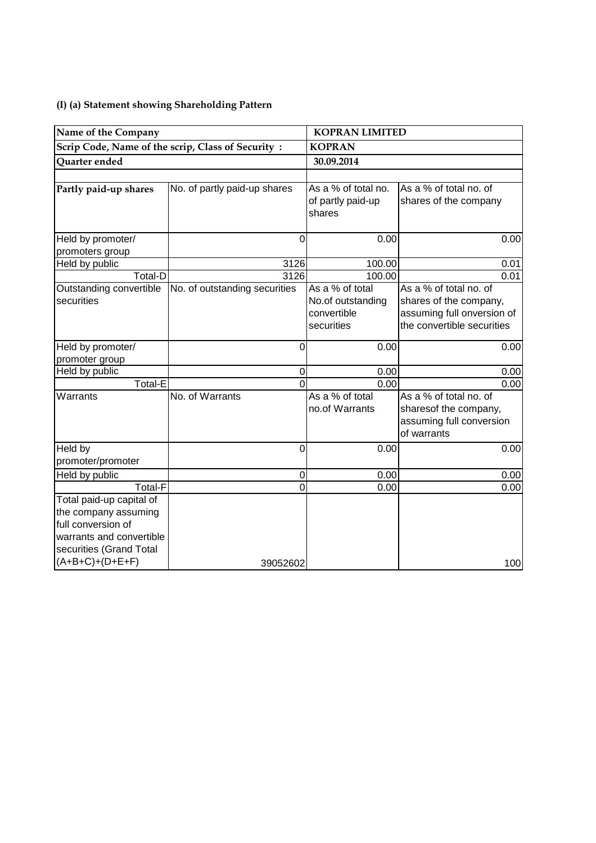## **(I) (a) Statement showing Shareholding Pattern**

| Name of the Company      |                                                   | <b>KOPRAN LIMITED</b>       |                            |  |  |
|--------------------------|---------------------------------------------------|-----------------------------|----------------------------|--|--|
|                          | Scrip Code, Name of the scrip, Class of Security: | <b>KOPRAN</b>               |                            |  |  |
| Quarter ended            |                                                   | 30.09.2014                  |                            |  |  |
|                          |                                                   |                             |                            |  |  |
| Partly paid-up shares    | No. of partly paid-up shares                      | As a % of total no.         | As a % of total no. of     |  |  |
|                          |                                                   | of partly paid-up<br>shares | shares of the company      |  |  |
| Held by promoter/        | 0                                                 | 0.00                        | 0.00                       |  |  |
| promoters group          |                                                   |                             |                            |  |  |
| Held by public           | 3126                                              | 100.00                      | 0.01                       |  |  |
| Total-D                  | 3126                                              | 100.00                      | 0.01                       |  |  |
| Outstanding convertible  | No. of outstanding securities                     | As a % of total             | As a % of total no. of     |  |  |
| securities               |                                                   | No.of outstanding           | shares of the company,     |  |  |
|                          |                                                   | convertible                 | assuming full onversion of |  |  |
|                          |                                                   | securities                  | the convertible securities |  |  |
| Held by promoter/        | 0                                                 | 0.00                        | 0.00                       |  |  |
| promoter group           |                                                   |                             |                            |  |  |
| Held by public           | $\mathbf 0$                                       | 0.00                        | 0.00                       |  |  |
| Total-E                  | $\Omega$                                          | 0.00                        | 0.00                       |  |  |
| Warrants                 | No. of Warrants                                   | As a % of total             | As a % of total no. of     |  |  |
|                          |                                                   | no.of Warrants              | sharesof the company,      |  |  |
|                          |                                                   |                             | assuming full conversion   |  |  |
|                          |                                                   |                             | of warrants                |  |  |
| Held by                  | $\Omega$                                          | 0.00                        | 0.00                       |  |  |
| promoter/promoter        |                                                   |                             |                            |  |  |
| Held by public           | $\mathbf 0$                                       | 0.00                        | 0.00                       |  |  |
| Total-F                  | 0                                                 | 0.00                        | 0.00                       |  |  |
| Total paid-up capital of |                                                   |                             |                            |  |  |
| the company assuming     |                                                   |                             |                            |  |  |
| full conversion of       |                                                   |                             |                            |  |  |
| warrants and convertible |                                                   |                             |                            |  |  |
| securities (Grand Total  |                                                   |                             |                            |  |  |
| $(A+B+C)+(D+E+F)$        | 39052602                                          |                             | 100                        |  |  |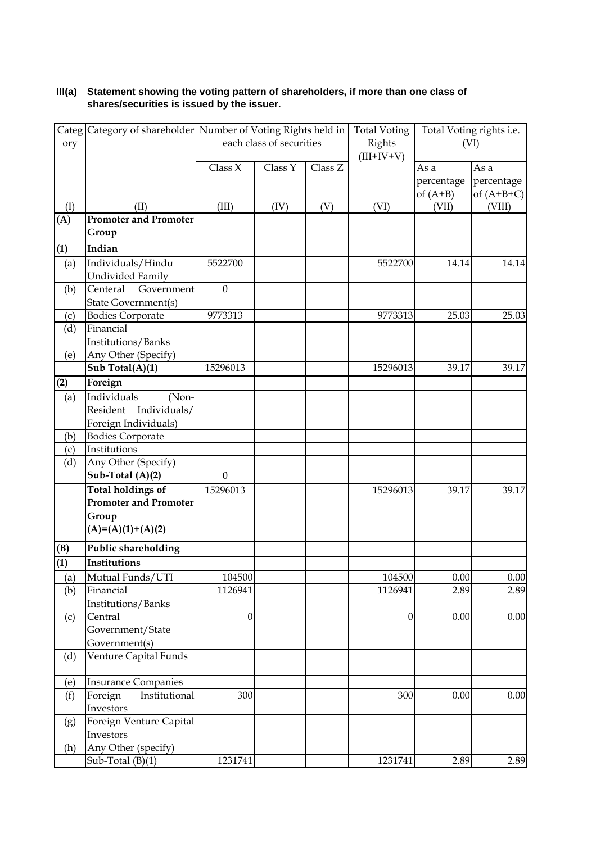## **III(a) Statement showing the voting pattern of shareholders, if more than one class of shares/securities is issued by the issuer.**

|                | Categ Category of shareholder Number of Voting Rights held in |                          |         |              | <b>Total Voting</b> |                     | Total Voting rights i.e. |
|----------------|---------------------------------------------------------------|--------------------------|---------|--------------|---------------------|---------------------|--------------------------|
| ory            |                                                               | each class of securities |         | Rights       | (VI)                |                     |                          |
|                |                                                               |                          |         | $(III+IV+V)$ |                     |                     |                          |
|                |                                                               | Class X                  | Class Y | Class Z      |                     | As a                | As a                     |
|                |                                                               |                          |         |              |                     | percentage          | percentage               |
|                | (II)                                                          | (III)                    |         |              | (VI)                | of $(A+B)$<br>(VII) | of $(A+B+C)$             |
| (I)<br>(A)     | <b>Promoter and Promoter</b>                                  |                          | (IV)    | (V)          |                     |                     | (VIII)                   |
|                | Group                                                         |                          |         |              |                     |                     |                          |
| (1)            | Indian                                                        |                          |         |              |                     |                     |                          |
|                |                                                               | 5522700                  |         |              |                     | 14.14               | 14.14                    |
| (a)            | Individuals/Hindu<br>Undivided Family                         |                          |         |              | 5522700             |                     |                          |
|                | Centeral<br>Government                                        | $\mathbf{0}$             |         |              |                     |                     |                          |
| (b)            | State Government(s)                                           |                          |         |              |                     |                     |                          |
| (c)            | <b>Bodies Corporate</b>                                       | 9773313                  |         |              | 9773313             | 25.03               | 25.03                    |
| (d)            | Financial                                                     |                          |         |              |                     |                     |                          |
|                | Institutions/Banks                                            |                          |         |              |                     |                     |                          |
| (e)            | Any Other (Specify)                                           |                          |         |              |                     |                     |                          |
|                | Sub Total(A)(1)                                               | 15296013                 |         |              | 15296013            | 39.17               | 39.17                    |
| (2)            | Foreign                                                       |                          |         |              |                     |                     |                          |
|                | Individuals<br>(Non-                                          |                          |         |              |                     |                     |                          |
| (a)            | Individuals/<br>Resident                                      |                          |         |              |                     |                     |                          |
|                |                                                               |                          |         |              |                     |                     |                          |
| (b)            | Foreign Individuals)<br><b>Bodies Corporate</b>               |                          |         |              |                     |                     |                          |
| (c)            | Institutions                                                  |                          |         |              |                     |                     |                          |
| (d)            | Any Other (Specify)                                           |                          |         |              |                     |                     |                          |
|                | Sub-Total (A)(2)                                              | $\mathbf{0}$             |         |              |                     |                     |                          |
|                | <b>Total holdings of</b>                                      | 15296013                 |         |              | 15296013            | 39.17               | 39.17                    |
|                | <b>Promoter and Promoter</b>                                  |                          |         |              |                     |                     |                          |
|                | Group                                                         |                          |         |              |                     |                     |                          |
|                | $(A)=(A)(1)+(A)(2)$                                           |                          |         |              |                     |                     |                          |
|                |                                                               |                          |         |              |                     |                     |                          |
| (B)            | Public shareholding                                           |                          |         |              |                     |                     |                          |
| $\overline{1}$ | Institutions                                                  |                          |         |              |                     |                     |                          |
| (a)            | Mutual Funds/UTI                                              | 104500                   |         |              | 104500              | 0.00                | 0.00                     |
| (b)            | Financial                                                     | 1126941                  |         |              | 1126941             | 2.89                | 2.89                     |
|                | Institutions/Banks                                            |                          |         |              |                     |                     |                          |
| (c)            | Central                                                       | $\mathbf{0}$             |         |              | $\boldsymbol{0}$    | 0.00                | 0.00                     |
|                | Government/State                                              |                          |         |              |                     |                     |                          |
|                | Government(s)                                                 |                          |         |              |                     |                     |                          |
| (d)            | Venture Capital Funds                                         |                          |         |              |                     |                     |                          |
| (e)            | <b>Insurance Companies</b>                                    |                          |         |              |                     |                     |                          |
| (f)            | Foreign<br>Institutional                                      | 300                      |         |              | 300                 | 0.00                | 0.00                     |
|                | Investors                                                     |                          |         |              |                     |                     |                          |
| (g)            | Foreign Venture Capital                                       |                          |         |              |                     |                     |                          |
|                | Investors                                                     |                          |         |              |                     |                     |                          |
| (h)            | Any Other (specify)                                           |                          |         |              |                     |                     |                          |
|                | Sub-Total $(B)(1)$                                            | 1231741                  |         |              | 1231741             | 2.89                | 2.89                     |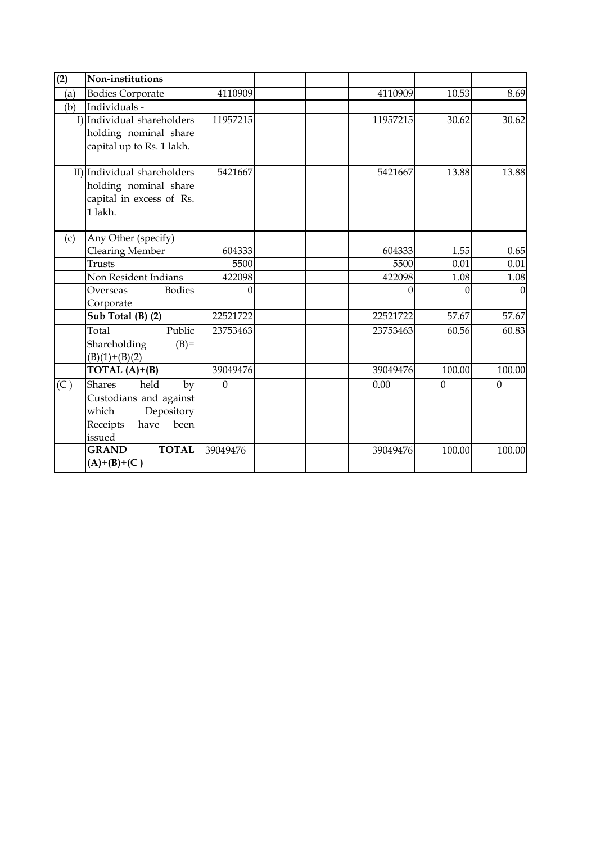| (2) | Non-institutions                                                                                                   |          |          |                  |                  |
|-----|--------------------------------------------------------------------------------------------------------------------|----------|----------|------------------|------------------|
| (a) | <b>Bodies Corporate</b>                                                                                            | 4110909  | 4110909  | 10.53            | 8.69             |
| (b) | Individuals -                                                                                                      |          |          |                  |                  |
|     | I) Individual shareholders                                                                                         | 11957215 | 11957215 | 30.62            | 30.62            |
|     | holding nominal share<br>capital up to Rs. 1 lakh.                                                                 |          |          |                  |                  |
|     | II) Individual shareholders<br>holding nominal share<br>capital in excess of Rs.<br>1 lakh.                        | 5421667  | 5421667  | 13.88            | 13.88            |
| (c) | Any Other (specify)                                                                                                |          |          |                  |                  |
|     | <b>Clearing Member</b>                                                                                             | 604333   | 604333   | 1.55             | 0.65             |
|     | Trusts                                                                                                             | 5500     | 5500     | 0.01             | 0.01             |
|     | Non Resident Indians                                                                                               | 422098   | 422098   | 1.08             | 1.08             |
|     | <b>Bodies</b><br>Overseas<br>Corporate                                                                             | $\Omega$ | $\Omega$ | $\Omega$         | $\Omega$         |
|     | Sub Total (B) (2)                                                                                                  | 22521722 | 22521722 | 57.67            | 57.67            |
|     | Public<br>Total<br>$(B)=$<br>Shareholding<br>$(B)(1)+(B)(2)$                                                       | 23753463 | 23753463 | 60.56            | 60.83            |
|     | TOTAL $(A)+(B)$                                                                                                    | 39049476 | 39049476 | 100.00           | 100.00           |
| (C) | held<br><b>Shares</b><br>by<br>Custodians and against<br>which<br>Depository<br>Receipts<br>have<br>been<br>issued | $\theta$ | 0.00     | $\boldsymbol{0}$ | $\boldsymbol{0}$ |
|     | <b>TOTAL</b><br><b>GRAND</b><br>$(A)+(B)+(C)$                                                                      | 39049476 | 39049476 | 100.00           | 100.00           |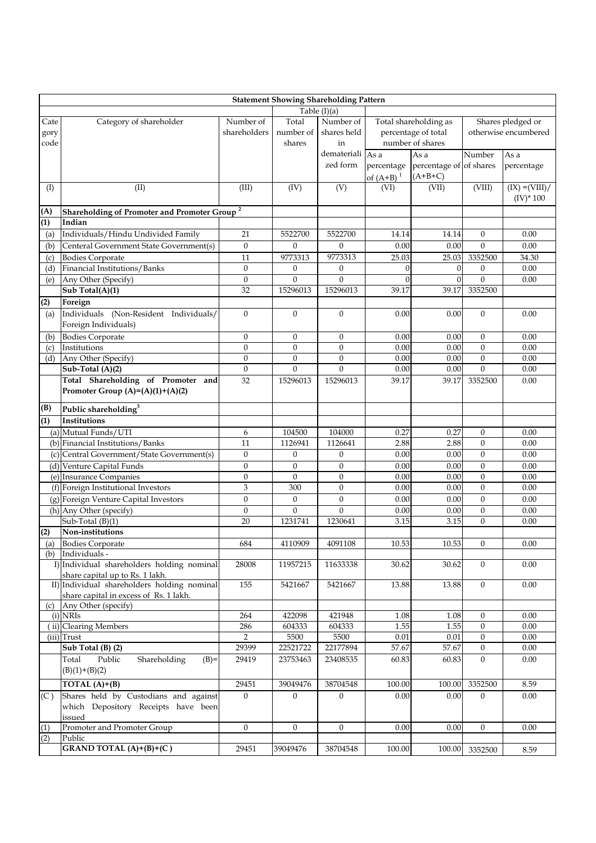|      | <b>Statement Showing Shareholding Pattern</b>                  |                  |                  |                  |              |                         |                  |                      |  |
|------|----------------------------------------------------------------|------------------|------------------|------------------|--------------|-------------------------|------------------|----------------------|--|
|      |                                                                |                  |                  | Table $(I)(a)$   |              |                         |                  |                      |  |
| Cate | Category of shareholder                                        | Number of        | Total            | Number of        |              | Total shareholding as   |                  | Shares pledged or    |  |
| gory |                                                                | shareholders     | number of        | shares held      |              | percentage of total     |                  | otherwise encumbered |  |
| code |                                                                |                  | shares           | in               |              | number of shares        |                  |                      |  |
|      |                                                                |                  |                  | demateriali As a |              | As a                    | Number           | As a                 |  |
|      |                                                                |                  |                  | zed form         | percentage   | percentage of of shares |                  | percentage           |  |
|      |                                                                |                  |                  |                  | of $(A+B)^1$ | $(A+B+C)$               |                  |                      |  |
| (I)  | (II)                                                           | (III)            | (IV)             | (V)              | (VI)         | (VII)                   | (VIII)           | $(IX) = (VIII) /$    |  |
|      |                                                                |                  |                  |                  |              |                         |                  | $(IV)^* 100$         |  |
| (A)  | <b>Shareholding of Promoter and Promoter Group<sup>2</sup></b> |                  |                  |                  |              |                         |                  |                      |  |
| (1)  | Indian                                                         |                  |                  |                  |              |                         |                  |                      |  |
| (a)  | Individuals/Hindu Undivided Family                             | 21               | 5522700          | 5522700          | 14.14        | 14.14                   | $\mathbf{0}$     | 0.00                 |  |
|      | Centeral Government State Government(s)                        | $\boldsymbol{0}$ | $\theta$         | $\boldsymbol{0}$ | 0.00         | 0.00                    | $\theta$         | 0.00                 |  |
| (b)  |                                                                |                  |                  | 9773313          |              |                         | 3352500          |                      |  |
| (c)  | <b>Bodies Corporate</b><br>Financial Institutions/Banks        | 11               | 9773313          |                  | 25.03        | 25.03                   |                  | 34.30                |  |
| (d)  |                                                                | $\boldsymbol{0}$ | $\theta$         | $\boldsymbol{0}$ |              | $\theta$                | $\Omega$         | 0.00                 |  |
| (e)  | Any Other (Specify)                                            | $\boldsymbol{0}$ | $\mathbf{0}$     | $\Omega$         |              | $\Omega$                | $\Omega$         | 0.00                 |  |
|      | Sub Total(A)(1)                                                | 32               | 15296013         | 15296013         | 39.17        | 39.17                   | 3352500          |                      |  |
| (2)  | Foreign                                                        |                  |                  |                  |              |                         |                  |                      |  |
| (a)  | Individuals (Non-Resident Individuals/                         | $\boldsymbol{0}$ | $\theta$         | $\overline{0}$   | 0.00         | 0.00                    | $\theta$         | 0.00                 |  |
|      | Foreign Individuals)                                           |                  |                  |                  |              |                         |                  |                      |  |
| (b)  | <b>Bodies Corporate</b>                                        | $\boldsymbol{0}$ | $\boldsymbol{0}$ | $\boldsymbol{0}$ | 0.00         | 0.00                    | $\theta$         | 0.00                 |  |
| (c)  | Institutions                                                   | $\boldsymbol{0}$ | $\boldsymbol{0}$ | $\theta$         | 0.00         | 0.00                    | $\theta$         | 0.00                 |  |
| (d)  | Any Other (Specify)                                            | $\boldsymbol{0}$ | $\boldsymbol{0}$ | $\theta$         | 0.00         | 0.00                    | $\theta$         | 0.00                 |  |
|      | Sub-Total (A)(2)                                               | $\mathbf{0}$     | $\mathbf{0}$     | $\overline{0}$   | 0.00         | 0.00                    | $\mathbf{0}$     | 0.00                 |  |
|      | Total Shareholding of Promoter and                             | 32               | 15296013         | 15296013         | 39.17        | 39.17                   | 3352500          | 0.00                 |  |
|      | Promoter Group $(A)=(A)(1)+(A)(2)$                             |                  |                  |                  |              |                         |                  |                      |  |
| (B)  | Public shareholding <sup>3</sup>                               |                  |                  |                  |              |                         |                  |                      |  |
| (1)  | Institutions                                                   |                  |                  |                  |              |                         |                  |                      |  |
|      | (a) Mutual Funds/UTI                                           | 6                | 104500           | 104000           | 0.27         | 0.27                    | $\boldsymbol{0}$ | 0.00                 |  |
|      | (b) Financial Institutions/Banks                               | 11               | 1126941          | 1126641          | 2.88         | 2.88                    | $\theta$         | 0.00                 |  |
|      | (c) Central Government/State Government(s)                     | $\theta$         | $\boldsymbol{0}$ | $\theta$         | 0.00         | 0.00                    | $\overline{0}$   | 0.00                 |  |
|      | (d) Venture Capital Funds                                      | $\boldsymbol{0}$ | $\boldsymbol{0}$ | $\mathbf{0}$     | 0.00         | 0.00                    | $\boldsymbol{0}$ | 0.00                 |  |
|      | (e) Insurance Companies                                        | $\boldsymbol{0}$ | $\mathbf{0}$     | $\theta$         | 0.00         | 0.00                    | $\overline{0}$   | 0.00                 |  |
|      | (f) Foreign Institutional Investors                            | 3                | 300              | $\boldsymbol{0}$ | 0.00         | 0.00                    | $\boldsymbol{0}$ | 0.00                 |  |
|      | (g) Foreign Venture Capital Investors                          | $\boldsymbol{0}$ | $\boldsymbol{0}$ | $\boldsymbol{0}$ | 0.00         | 0.00                    | $\mathbf{0}$     | 0.00                 |  |
|      | (h) Any Other (specify)                                        | $\boldsymbol{0}$ | $\mathbf{0}$     | $\theta$         | 0.00         | 0.00                    | $\boldsymbol{0}$ | 0.00                 |  |
|      | $\overline{\text{Sub-Total }(B)}(1)$                           | 20               | 1231741          | 1230641          | 3.15         | 3.15                    | $\boldsymbol{0}$ | 0.00                 |  |
| (2)  | Non-institutions                                               |                  |                  |                  |              |                         |                  |                      |  |
| (a)  | <b>Bodies Corporate</b>                                        | 684              | 4110909          | 4091108          | 10.53        | 10.53                   | $\mathbf{0}$     | 0.00                 |  |
| (b)  | Individuals -                                                  |                  |                  |                  |              |                         |                  |                      |  |
|      | I) Individual shareholders holding nominal                     | 28008            | 11957215         | 11633338         | 30.62        | 30.62                   | $\overline{0}$   | 0.00                 |  |
|      | share capital up to Rs. 1 lakh.                                |                  |                  |                  |              |                         |                  |                      |  |
|      | II) Individual shareholders holding nominal                    | 155              | 5421667          | 5421667          | 13.88        | 13.88                   | $\mathbf{0}$     | 0.00                 |  |
|      | share capital in excess of Rs. 1 lakh.                         |                  |                  |                  |              |                         |                  |                      |  |
| (c)  | Any Other (specify)                                            |                  |                  |                  |              |                         |                  |                      |  |
|      | $(i)$ NRIs                                                     | 264              | 422098           | 421948           | 1.08         | 1.08                    | $\overline{0}$   | 0.00                 |  |
|      | ii) Clearing Members                                           | 286              | 604333           | 604333           | 1.55         | 1.55                    | $\boldsymbol{0}$ | 0.00                 |  |
|      | (iii) Trust                                                    | $\overline{2}$   | 5500             | 5500             | 0.01         | 0.01                    | $\boldsymbol{0}$ | 0.00                 |  |
|      | Sub Total (B) (2)                                              | 29399            | 22521722         | 22177894         | 57.67        | 57.67                   | $\boldsymbol{0}$ | 0.00                 |  |
|      | Public<br>Shareholding<br>Total<br>$(B)=$<br>$(B)(1)+(B)(2)$   | 29419            | 23753463         | 23408535         | 60.83        | 60.83                   | $\overline{0}$   | 0.00                 |  |
|      |                                                                |                  |                  |                  |              |                         |                  |                      |  |
|      | TOTAL $(A)+(B)$                                                | 29451            | 39049476         | 38704548         | 100.00       | 100.00                  | 3352500          | 8.59                 |  |
| (C)  | Shares held by Custodians and against                          | $\boldsymbol{0}$ | $\Omega$         | $\boldsymbol{0}$ | 0.00         | 0.00                    | $\Omega$         | 0.00                 |  |
|      | which Depository Receipts have been                            |                  |                  |                  |              |                         |                  |                      |  |
|      | issued                                                         |                  |                  |                  |              |                         |                  |                      |  |
| (1)  | Promoter and Promoter Group                                    | $\boldsymbol{0}$ | $\boldsymbol{0}$ | $\boldsymbol{0}$ | 0.00         | 0.00                    | $\overline{0}$   | 0.00                 |  |
| (2)  | Public                                                         |                  |                  |                  |              |                         |                  |                      |  |
|      | GRAND TOTAL $(A)+(B)+(C)$                                      | 29451            | 39049476         | 38704548         | 100.00       | 100.00                  | 3352500          | 8.59                 |  |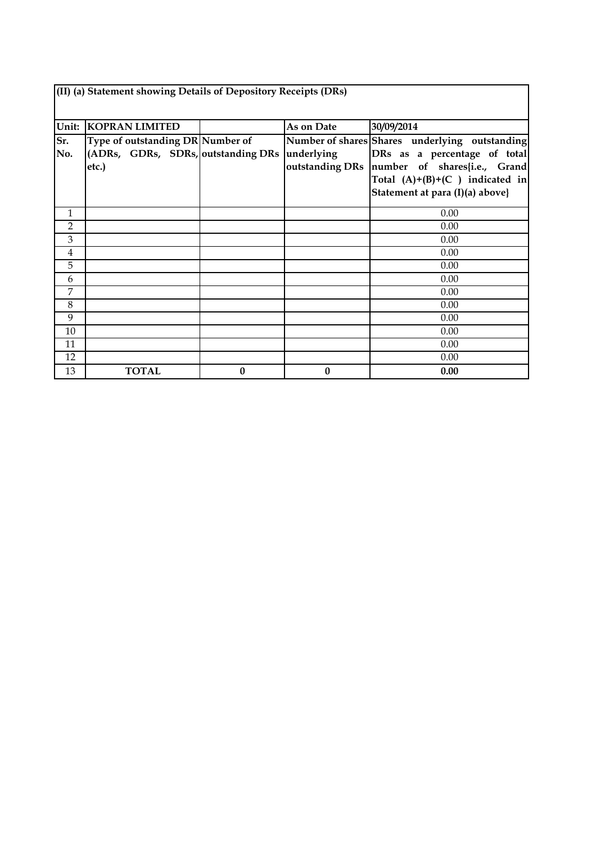| (II) (a) Statement showing Details of Depository Receipts (DRs) |                                                                                 |   |            |                                                                                                                                                                    |  |  |  |  |  |
|-----------------------------------------------------------------|---------------------------------------------------------------------------------|---|------------|--------------------------------------------------------------------------------------------------------------------------------------------------------------------|--|--|--|--|--|
| Unit:                                                           | <b>KOPRAN LIMITED</b>                                                           |   | As on Date | 30/09/2014                                                                                                                                                         |  |  |  |  |  |
| Sr.<br>No.                                                      | Type of outstanding DR Number of<br>(ADRs, GDRs, SDRs, outstanding DRs<br>etc.) |   | underlying | Number of shares Shares underlying outstanding<br>DRs as a percentage of total<br>outstanding DRs number of shares{i.e., Grand<br>Total $(A)+(B)+(C)$ indicated in |  |  |  |  |  |
|                                                                 |                                                                                 |   |            | Statement at para (I)(a) above}                                                                                                                                    |  |  |  |  |  |
| 1                                                               |                                                                                 |   |            | 0.00                                                                                                                                                               |  |  |  |  |  |
| 2                                                               |                                                                                 |   |            | 0.00                                                                                                                                                               |  |  |  |  |  |
| 3                                                               |                                                                                 |   |            | 0.00                                                                                                                                                               |  |  |  |  |  |
| 4                                                               |                                                                                 |   |            | 0.00                                                                                                                                                               |  |  |  |  |  |
| 5                                                               |                                                                                 |   |            | 0.00                                                                                                                                                               |  |  |  |  |  |
| 6                                                               |                                                                                 |   |            | 0.00                                                                                                                                                               |  |  |  |  |  |
| 7                                                               |                                                                                 |   |            | 0.00                                                                                                                                                               |  |  |  |  |  |
| 8                                                               |                                                                                 |   |            | 0.00                                                                                                                                                               |  |  |  |  |  |
| 9                                                               |                                                                                 |   |            | 0.00                                                                                                                                                               |  |  |  |  |  |
| 10                                                              |                                                                                 |   |            | 0.00                                                                                                                                                               |  |  |  |  |  |
| 11                                                              |                                                                                 |   |            | 0.00                                                                                                                                                               |  |  |  |  |  |
| 12                                                              |                                                                                 |   |            | 0.00                                                                                                                                                               |  |  |  |  |  |
| 13                                                              | <b>TOTAL</b>                                                                    | 0 | $\bf{0}$   | 0.00                                                                                                                                                               |  |  |  |  |  |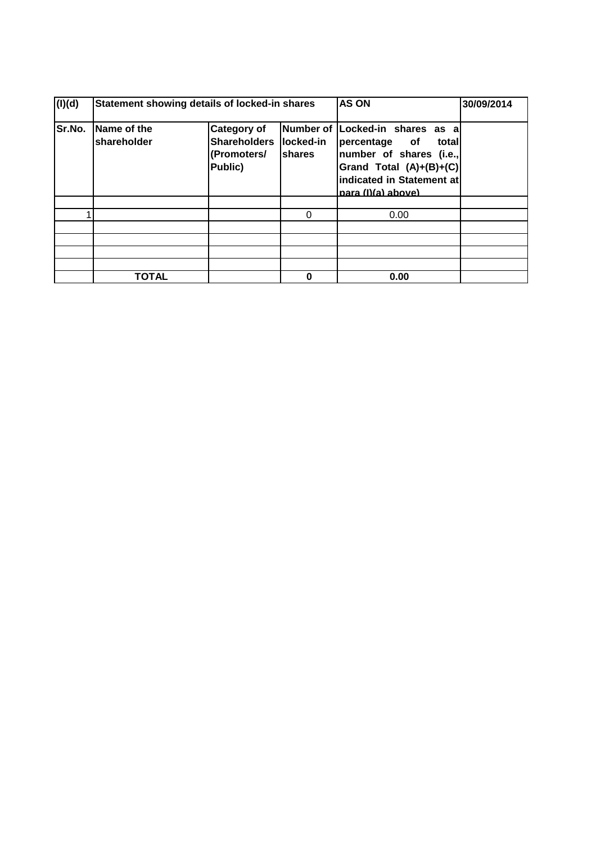| (I)(d) | Statement showing details of locked-in shares |                                                                     | <b>AS ON</b>                             | 30/09/2014                                                                                                                                                 |  |
|--------|-----------------------------------------------|---------------------------------------------------------------------|------------------------------------------|------------------------------------------------------------------------------------------------------------------------------------------------------------|--|
| Sr.No. | Name of the<br>shareholder                    | <b>Category of</b><br><b>Shareholders</b><br>(Promoters/<br>Public) | Number of<br>locked-in<br><b>Ishares</b> | Locked-in shares as a<br>percentage of<br>totall<br>number of shares (i.e.,<br>Grand Total (A)+(B)+(C) <br>indicated in Statement at<br>para (I)(a) above) |  |
|        |                                               |                                                                     |                                          |                                                                                                                                                            |  |
|        |                                               |                                                                     | 0                                        | 0.00                                                                                                                                                       |  |
|        |                                               |                                                                     |                                          |                                                                                                                                                            |  |
|        |                                               |                                                                     |                                          |                                                                                                                                                            |  |
|        |                                               |                                                                     |                                          |                                                                                                                                                            |  |
|        |                                               |                                                                     |                                          |                                                                                                                                                            |  |
|        | <b>TOTAL</b>                                  |                                                                     | 0.00                                     |                                                                                                                                                            |  |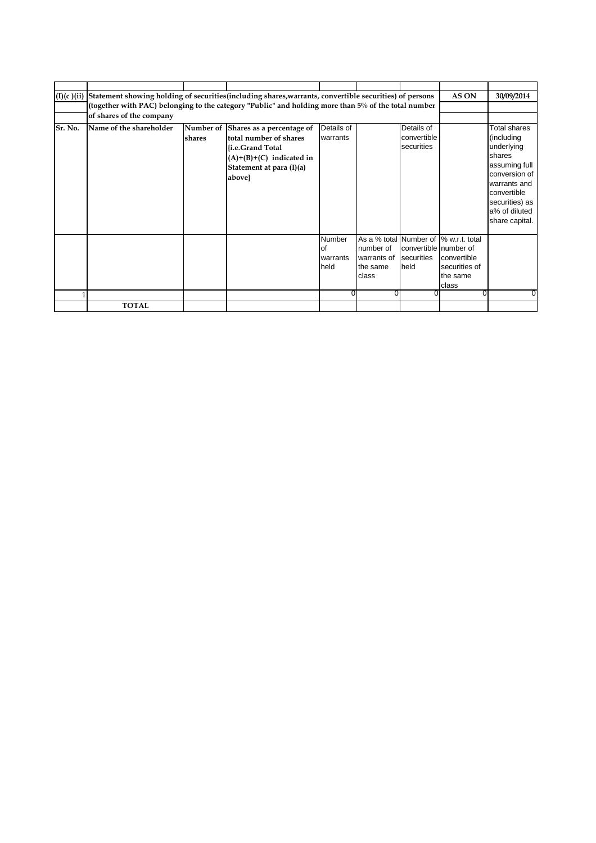| (I)(c)(ii) | Statement showing holding of securities (including shares, warrants, convertible securities) of persons |                |                            |               |             |                       | AS ON                                  | 30/09/2014                      |
|------------|---------------------------------------------------------------------------------------------------------|----------------|----------------------------|---------------|-------------|-----------------------|----------------------------------------|---------------------------------|
|            | (together with PAC) belonging to the category "Public" and holding more than 5% of the total number     |                |                            |               |             |                       |                                        |                                 |
|            | of shares of the company                                                                                |                |                            |               |             |                       |                                        |                                 |
| Sr. No.    | Name of the shareholder                                                                                 | Number of      |                            | Details of    |             | Details of            |                                        | Total shares                    |
|            |                                                                                                         |                | Shares as a percentage of  | warrants      |             | convertible           |                                        | (including                      |
|            |                                                                                                         | <b>Ishares</b> | total number of shares     |               |             | securities            |                                        | underlying                      |
|            |                                                                                                         |                | {i.e.Grand Total           |               |             |                       |                                        |                                 |
|            |                                                                                                         |                | $(A)+(B)+(C)$ indicated in |               |             |                       |                                        | <b>shares</b>                   |
|            |                                                                                                         |                | Statement at para (I)(a)   |               |             |                       |                                        | assuming full<br>conversion of  |
|            |                                                                                                         |                | above}                     |               |             |                       |                                        |                                 |
|            |                                                                                                         |                |                            |               |             |                       |                                        | warrants and<br>convertible     |
|            |                                                                                                         |                |                            |               |             |                       |                                        |                                 |
|            |                                                                                                         |                |                            |               |             |                       |                                        | securities) as<br>a% of diluted |
|            |                                                                                                         |                |                            |               |             |                       |                                        |                                 |
|            |                                                                                                         |                |                            |               |             |                       |                                        | share capital.                  |
|            |                                                                                                         |                |                            | <b>Number</b> |             |                       | As a % total Number of  % w.r.t. total |                                 |
|            |                                                                                                         |                |                            | <b>of</b>     | number of   | convertible number of |                                        |                                 |
|            |                                                                                                         |                |                            | warrants      | warrants of | securities            | convertible                            |                                 |
|            |                                                                                                         |                |                            | held          | the same    | held                  | securities of                          |                                 |
|            |                                                                                                         |                |                            |               | class       |                       | the same                               |                                 |
|            |                                                                                                         |                |                            |               |             |                       | class                                  |                                 |
|            |                                                                                                         |                |                            | $\Omega$      |             |                       | 0                                      | 0                               |
|            | <b>TOTAL</b>                                                                                            |                |                            |               |             |                       |                                        |                                 |